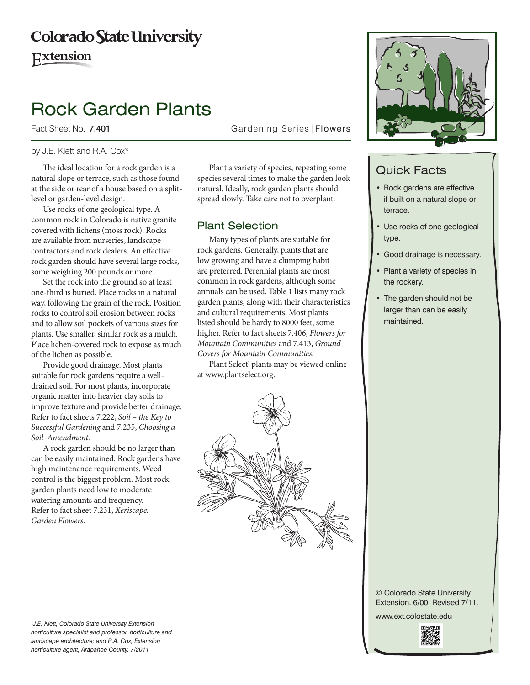## **Colorado State University**

Extension

# Rock Garden Plants

Fact Sheet No. 7.401

Gardening Series | Flowers

#### by J.E. Klett and R.A. Cox\*

The ideal location for a rock garden is a natural slope or terrace, such as those found at the side or rear of a house based on a splitlevel or garden-level design.

Use rocks of one geological type. A common rock in Colorado is native granite covered with lichens (moss rock). Rocks are available from nurseries, landscape contractors and rock dealers. An effective rock garden should have several large rocks, some weighing 200 pounds or more.

Set the rock into the ground so at least one-third is buried. Place rocks in a natural way, following the grain of the rock. Position rocks to control soil erosion between rocks and to allow soil pockets of various sizes for plants. Use smaller, similar rock as a mulch. Place lichen-covered rock to expose as much of the lichen as possible.

Provide good drainage. Most plants suitable for rock gardens require a welldrained soil. For most plants, incorporate organic matter into heavier clay soils to improve texture and provide better drainage. Refer to fact sheets 7.222, *Soil – the Key to Successful Gardening* and 7.235, *Choosing a Soil Amendment*.

A rock garden should be no larger than can be easily maintained. Rock gardens have high maintenance requirements. Weed control is the biggest problem. Most rock garden plants need low to moderate watering amounts and frequency. Refer to fact sheet 7.231, *Xeriscape: Garden Flowers*.

Plant a variety of species, repeating some species several times to make the garden look natural. Ideally, rock garden plants should spread slowly. Take care not to overplant.

#### Plant Selection

Many types of plants are suitable for rock gardens. Generally, plants that are low growing and have a clumping habit are preferred. Perennial plants are most common in rock gardens, although some annuals can be used. Table 1 lists many rock garden plants, along with their characteristics and cultural requirements. Most plants listed should be hardy to 8000 feet, some higher. Refer to fact sheets 7.406, *Flowers for Mountain Communities* and 7.413, *Ground Covers for Mountain Communities*.

Plant Select<sup>®</sup> plants may be viewed online at www.plantselect.org.



www.ext.colostate.edu



*\* J.E. Klett, Colorado State University Extension horticulture specialist and professor, horticulture and landscape architecture; and R.A. Cox, Extension horticulture agent, Arapahoe County. 7/2011* 





### Quick Facts

- • Rock gardens are effective if built on a natural slope or terrace.
- Use rocks of one geological type.
- Good drainage is necessary.
- Plant a variety of species in the rockery.
- The garden should not be larger than can be easily maintained.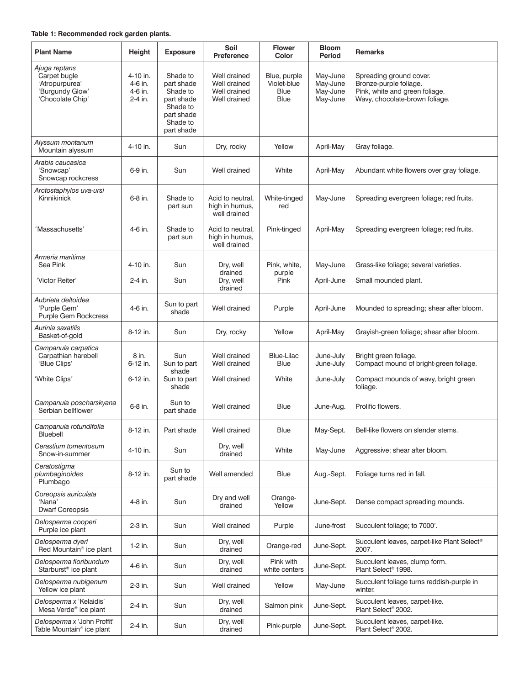| Ajuga reptans<br>Carpet bugle<br>Shade to<br>Well drained<br>May-June<br>Spreading ground cover.<br>4-10 in.<br>Blue, purple<br>Violet-blue<br>'Atropurpurea'<br>part shade<br>Well drained<br>May-June<br>Bronze-purple foliage.<br>4-6 in.                                        |  |
|-------------------------------------------------------------------------------------------------------------------------------------------------------------------------------------------------------------------------------------------------------------------------------------|--|
| 'Burgundy Glow'<br>May-June<br>Pink, white and green foliage.<br>Shade to<br>Well drained<br>Blue<br>4-6 in.<br>'Chocolate Chip'<br>Wavy, chocolate-brown foliage.<br>Well drained<br>Blue<br>May-June<br>2-4 in.<br>part shade<br>Shade to<br>part shade<br>Shade to<br>part shade |  |
| Alyssum montanum<br>4-10 in.<br>Sun<br>Dry, rocky<br>Yellow<br>April-May<br>Gray foliage.<br>Mountain alyssum                                                                                                                                                                       |  |
| Arabis caucasica<br>'Snowcap'<br>6-9 in.<br>Sun<br>Well drained<br>White<br>April-May<br>Abundant white flowers over gray foliage.<br>Snowcap rockcress                                                                                                                             |  |
| Arctostaphylos uva-ursi<br>Kinnikinick<br>6-8 in.<br>Shade to<br>Acid to neutral,<br>May-June<br>Spreading evergreen foliage; red fruits.<br>White-tinged<br>high in humus,<br>part sun<br>red<br>well drained                                                                      |  |
| Massachusetts'<br>4-6 in.<br>Shade to<br>Acid to neutral,<br>Pink-tinged<br>April-May<br>Spreading evergreen foliage; red fruits.<br>high in humus,<br>part sun<br>well drained                                                                                                     |  |
| Armeria maritima<br>Sea Pink<br>4-10 in.<br>Sun<br>Pink, white,<br>May-June<br>Dry, well<br>Grass-like foliage; several varieties.<br>drained<br>purple                                                                                                                             |  |
| Pink<br>'Victor Reiter'<br>2-4 in.<br>Sun<br>Dry, well<br>Small mounded plant.<br>April-June<br>drained                                                                                                                                                                             |  |
| Aubrieta deltoidea<br>Sun to part<br>'Purple Gem'<br>4-6 in.<br>Well drained<br>April-June<br>Mounded to spreading; shear after bloom.<br>Purple<br>shade<br><b>Purple Gem Rockcress</b>                                                                                            |  |
| Aurinia saxatilis<br>8-12 in.<br>Sun<br>Dry, rocky<br>Yellow<br>Grayish-green foliage; shear after bloom.<br>April-May<br>Basket-of-gold                                                                                                                                            |  |
| Campanula carpatica<br>Carpathian harebell<br>8 in.<br>Sun<br>Well drained<br><b>Blue-Lilac</b><br>June-July<br>Bright green foliage.<br>'Blue Clips'<br>Compact mound of bright-green foliage.<br>6-12 in.<br>Well drained<br>Blue<br>June-July<br>Sun to part<br>shade            |  |
| 'White Clips'<br>6-12 in.<br>White<br>Compact mounds of wavy, bright green<br>Sun to part<br>Well drained<br>June-July<br>shade<br>foliage.                                                                                                                                         |  |
| Campanula poscharskyana<br>Sun to<br>Prolific flowers.<br>6-8 in.<br>Well drained<br>Blue<br>June-Aug.<br>Serbian bellflower<br>part shade                                                                                                                                          |  |
| Campanula rotundifolia<br>8-12 in.<br>Part shade<br>Well drained<br><b>Blue</b><br>May-Sept.<br>Bell-like flowers on slender stems.<br>Bluebell                                                                                                                                     |  |
| Cerastium tomentosum<br>Dry, well<br>White<br>4-10 in.<br>Sun<br>May-June<br>Aggressive; shear after bloom.<br>drained<br>Snow-in-summer                                                                                                                                            |  |
| Ceratostigma<br>Sun to<br>plumbaginoides<br>8-12 in.<br>Well amended<br>Blue<br>Aug.-Sept.<br>Foliage turns red in fall.<br>part shade<br>Plumbago                                                                                                                                  |  |
| Coreopsis auriculata<br>Dry and well<br>Orange-<br>'Nana'<br>4-8 in.<br>Sun<br>June-Sept.<br>Dense compact spreading mounds.<br>Yellow<br>drained<br><b>Dwarf Coreopsis</b>                                                                                                         |  |
| Delosperma cooperi<br>2-3 in.<br>Succulent foliage; to 7000'.<br>Sun<br>Well drained<br>Purple<br>June-frost<br>Purple ice plant                                                                                                                                                    |  |
| Delosperma dyeri<br>Dry, well<br>Succulent leaves, carpet-like Plant Select <sup>®</sup><br>1-2 in.<br>Sun<br>June-Sept.<br>Orange-red<br>Red Mountain <sup>®</sup> ice plant<br>drained<br>2007.                                                                                   |  |
| Delosperma floribundum<br>Dry, well<br>Pink with<br>Succulent leaves, clump form.<br>4-6 in.<br>Sun<br>June-Sept.<br>Starburst <sup>®</sup> ice plant<br>Plant Select <sup>®</sup> 1998.<br>drained<br>white centers                                                                |  |
| Succulent foliage turns reddish-purple in<br>Delosperma nubigenum<br>2-3 in.<br>Sun<br>Well drained<br>Yellow<br>May-June<br>Yellow ice plant<br>winter.                                                                                                                            |  |
| Delosperma x 'Kelaidis'<br>Dry, well<br>Succulent leaves, carpet-like.<br>2-4 in.<br>Sun<br>Salmon pink<br>June-Sept.<br>Mesa Verde® ice plant<br>Plant Select <sup>®</sup> 2002.<br>drained                                                                                        |  |
| Delosperma x 'John Proffit'<br>Dry, well<br>Succulent leaves, carpet-like.<br>2-4 in.<br>Sun<br>Pink-purple<br>June-Sept.<br>Table Mountain <sup>®</sup> ice plant<br>drained<br>Plant Select <sup>®</sup> 2002.                                                                    |  |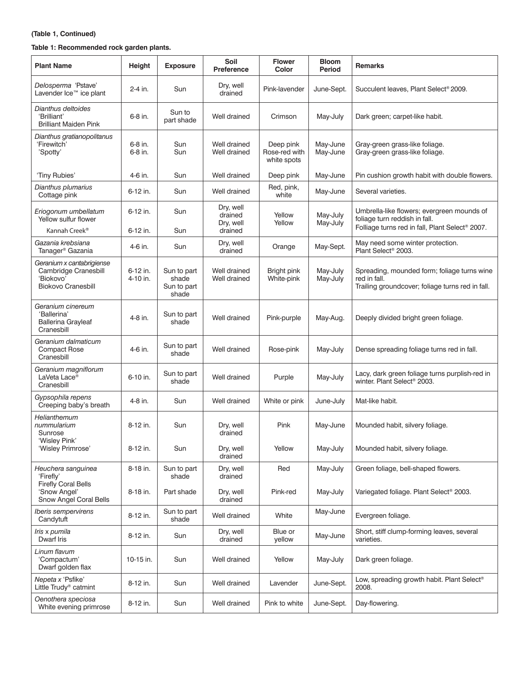#### **(Table 1, Continued)**

#### **Table 1: Recommended rock garden plants.**

| <b>Plant Name</b>                                                                           | Height               | <b>Exposure</b>                              | Soil<br><b>Preference</b>                    | <b>Flower</b><br>Color                    | <b>Bloom</b><br>Period | <b>Remarks</b>                                                                                                                 |
|---------------------------------------------------------------------------------------------|----------------------|----------------------------------------------|----------------------------------------------|-------------------------------------------|------------------------|--------------------------------------------------------------------------------------------------------------------------------|
| Delosperma 'Pstave'<br>Lavender Ice™ ice plant                                              | 2-4 in.              | Sun                                          | Dry, well<br>drained                         | Pink-lavender                             | June-Sept.             | Succulent leaves, Plant Select® 2009.                                                                                          |
| Dianthus deltoides<br>'Brilliant'<br><b>Brilliant Maiden Pink</b>                           | 6-8 in.              | Sun to<br>part shade                         | Well drained                                 | Crimson                                   | May-July               | Dark green; carpet-like habit.                                                                                                 |
| Dianthus gratianopolitanus<br>'Firewitch'<br>'Spotty'                                       | 6-8 in.<br>6-8 in.   | Sun<br>Sun                                   | Well drained<br>Well drained                 | Deep pink<br>Rose-red with<br>white spots | May-June<br>May-June   | Gray-green grass-like foliage.<br>Gray-green grass-like foliage.                                                               |
| 'Tiny Rubies'                                                                               | 4-6 in.              | Sun                                          | Well drained                                 | Deep pink                                 | May-June               | Pin cushion growth habit with double flowers.                                                                                  |
| Dianthus plumarius<br>Cottage pink                                                          | 6-12 in.             | Sun                                          | Well drained                                 | Red, pink,<br>white                       | May-June               | Several varieties.                                                                                                             |
| Eriogonum umbellatum<br>Yellow sulfur flower                                                | 6-12 in.             | Sun                                          | Dry, well<br>drained<br>Dry, well<br>drained | Yellow<br>Yellow                          | May-July<br>May-July   | Umbrella-like flowers; evergreen mounds of<br>foliage turn reddish in fall.<br>Folliage turns red in fall, Plant Select® 2007. |
| Kannah Creek <sup>®</sup>                                                                   | 6-12 in.             | Sun                                          |                                              |                                           |                        |                                                                                                                                |
| Gazania krebsiana<br>Tanager <sup>®</sup> Gazania                                           | 4-6 in.              | Sun                                          | Dry, well<br>drained                         | Orange                                    | May-Sept.              | May need some winter protection.<br>Plant Select <sup>®</sup> 2003.                                                            |
| Geranium x cantabrigiense<br>Cambridge Cranesbill<br>'Biokovo'<br><b>Biokovo Cranesbill</b> | 6-12 in.<br>4-10 in. | Sun to part<br>shade<br>Sun to part<br>shade | Well drained<br>Well drained                 | Bright pink<br>White-pink                 | May-July<br>May-July   | Spreading, mounded form; foliage turns wine<br>red in fall.<br>Trailing groundcover; foliage turns red in fall.                |
| Geranium cinereum<br>'Ballerina'<br><b>Ballerina Grayleaf</b><br>Cranesbill                 | 4-8 in.              | Sun to part<br>shade                         | Well drained                                 | Pink-purple                               | May-Aug.               | Deeply divided bright green foliage.                                                                                           |
| Geranium dalmaticum<br><b>Compact Rose</b><br>Cranesbill                                    | 4-6 in.              | Sun to part<br>shade                         | Well drained                                 | Rose-pink                                 | May-July               | Dense spreading foliage turns red in fall.                                                                                     |
| Geranium magniflorum<br>LaVeta Lace <sup>®</sup><br>Cranesbill                              | 6-10 in.             | Sun to part<br>shade                         | Well drained                                 | Purple                                    | May-July               | Lacy, dark green foliage turns purplish-red in<br>winter. Plant Select <sup>®</sup> 2003.                                      |
| Gypsophila repens<br>Creeping baby's breath                                                 | 4-8 in.              | Sun                                          | Well drained                                 | White or pink                             | June-July              | Mat-like habit.                                                                                                                |
| Helianthemum<br>nummularium<br>Sunrose                                                      | 8-12 in.             | Sun                                          | Dry, well<br>drained                         | Pink                                      | May-June               | Mounded habit, silvery foliage.                                                                                                |
| 'Wisley Pink'<br>'Wisley Primrose'                                                          | 8-12 in.             | Sun                                          | Dry, well<br>drained                         | Yellow                                    | May-July               | Mounded habit, silvery foliage.                                                                                                |
| Heuchera sanguinea<br>'Firefly'                                                             | 8-18 in.             | Sun to part<br>shade                         | Dry, well<br>drained                         | Red                                       | May-July               | Green foliage, bell-shaped flowers.                                                                                            |
| <b>Firefly Coral Bells</b><br>'Snow Angel'<br>Snow Angel Coral Bells                        | 8-18 in.             | Part shade                                   | Dry, well<br>drained                         | Pink-red                                  | May-July               | Variegated foliage. Plant Select <sup>®</sup> 2003.                                                                            |
| Iberis sempervirens<br>Candytuft                                                            | 8-12 in.             | Sun to part<br>shade                         | Well drained                                 | White                                     | May-June               | Evergreen foliage.                                                                                                             |
| Iris x pumila<br>Dwarf Iris                                                                 | 8-12 in.             | Sun                                          | Dry, well<br>drained                         | Blue or<br>yellow                         | May-June               | Short, stiff clump-forming leaves, several<br>varieties.                                                                       |
| Linum flavum<br>'Compactum'<br>Dwarf golden flax                                            | 10-15 in.            | Sun                                          | Well drained                                 | Yellow                                    | May-July               | Dark green foliage.                                                                                                            |
| <i>Nepeta x 'Psfike'</i><br>Little Trudy <sup>®</sup> catmint                               | 8-12 in.             | Sun                                          | Well drained                                 | Lavender                                  | June-Sept.             | Low, spreading growth habit. Plant Select <sup>®</sup><br>2008.                                                                |
| Oenothera speciosa<br>White evening primrose                                                | 8-12 in.             | Sun                                          | Well drained                                 | Pink to white                             | June-Sept.             | Day-flowering.                                                                                                                 |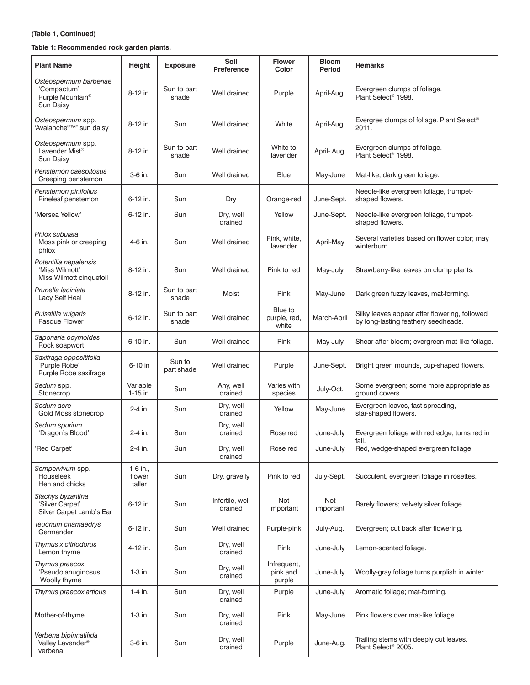#### **(Table 1, Continued)**

#### **Table 1: Recommended rock garden plants.**

| <b>Plant Name</b>                                                                  | Height                       | <b>Exposure</b>      | Soil<br><b>Preference</b>  | <b>Flower</b><br>Color            | <b>Bloom</b><br><b>Period</b> | <b>Remarks</b>                                                                       |
|------------------------------------------------------------------------------------|------------------------------|----------------------|----------------------------|-----------------------------------|-------------------------------|--------------------------------------------------------------------------------------|
| Osteospermum barberiae<br>'Compactum'<br>Purple Mountain <sup>®</sup><br>Sun Daisy | 8-12 in.                     | Sun to part<br>shade | Well drained               | Purple                            | April-Aug.                    | Evergreen clumps of foliage.<br>Plant Select <sup>®</sup> 1998.                      |
| Osteospermum spp.<br>'Avalanche <sup>rPPAF</sup> sun daisy                         | 8-12 in.                     | Sun                  | Well drained               | White                             | April-Aug.                    | Evergree clumps of foliage. Plant Select <sup>®</sup><br>2011.                       |
| Osteospermum spp.<br>Lavender Mist <sup>®</sup><br>Sun Daisy                       | 8-12 in.                     | Sun to part<br>shade | Well drained               | White to<br>lavender              | April-Aug.                    | Evergreen clumps of foliage.<br>Plant Select <sup>®</sup> 1998.                      |
| Penstemon caespitosus<br>Creeping penstemon                                        | 3-6 in.                      | Sun                  | Well drained               | Blue                              | May-June                      | Mat-like; dark green foliage.                                                        |
| Penstemon pinifolius<br>Pineleaf penstemon                                         | 6-12 in.                     | Sun                  | Dry                        | Orange-red                        | June-Sept.                    | Needle-like evergreen foliage, trumpet-<br>shaped flowers.                           |
| 'Mersea Yellow'                                                                    | 6-12 in.                     | Sun                  | Dry, well<br>drained       | Yellow                            | June-Sept.                    | Needle-like evergreen foliage, trumpet-<br>shaped flowers.                           |
| Phlox subulata<br>Moss pink or creeping<br>phlox                                   | 4-6 in.                      | Sun                  | Well drained               | Pink, white,<br>lavender          | April-May                     | Several varieties based on flower color; may<br>winterburn.                          |
| Potentilla nepalensis<br>'Miss Wilmott'<br>Miss Wilmott cinquefoil                 | 8-12 in.                     | Sun                  | Well drained               | Pink to red                       | May-July                      | Strawberry-like leaves on clump plants.                                              |
| Prunella laciniata<br>Lacy Self Heal                                               | 8-12 in.                     | Sun to part<br>shade | Moist                      | Pink                              | May-June                      | Dark green fuzzy leaves, mat-forming.                                                |
| Pulsatilla vulgaris<br>Pasque Flower                                               | 6-12 in.                     | Sun to part<br>shade | Well drained               | Blue to<br>purple, red,<br>white  | March-April                   | Silky leaves appear after flowering, followed<br>by long-lasting feathery seedheads. |
| Saponaria ocymoides<br>Rock soapwort                                               | 6-10 in.                     | Sun                  | Well drained               | Pink                              | May-July                      | Shear after bloom; evergreen mat-like foliage.                                       |
| Saxifraga oppositifolia<br>'Purple Robe'<br>Purple Robe saxifrage                  | 6-10 in                      | Sun to<br>part shade | Well drained               | Purple                            | June-Sept.                    | Bright green mounds, cup-shaped flowers.                                             |
| Sedum spp.<br>Stonecrop                                                            | Variable<br>1-15 in.         | Sun                  | Any, well<br>drained       | Varies with<br>species            | July-Oct.                     | Some evergreen; some more appropriate as<br>ground covers.                           |
| Sedum acre<br>Gold Moss stonecrop                                                  | 2-4 in.                      | Sun                  | Dry, well<br>drained       | Yellow                            | May-June                      | Evergreen leaves, fast spreading,<br>star-shaped flowers.                            |
| Sedum spurium<br>'Dragon's Blood'                                                  | 2-4 in.                      | Sun                  | Dry, well<br>drained       | Rose red                          | June-July                     | Evergreen foliage with red edge, turns red in<br>fall.                               |
| 'Red Carpet'                                                                       | 2-4 in.                      | Sun                  | Dry, well<br>drained       | Rose red                          | June-July                     | Red, wedge-shaped evergreen foliage.                                                 |
| Sempervivum spp.<br>Houseleek<br>Hen and chicks                                    | 1-6 in.,<br>flower<br>taller | Sun                  | Dry, gravelly              | Pink to red                       | July-Sept.                    | Succulent, evergreen foliage in rosettes.                                            |
| Stachys byzantina<br>'Silver Carpet'<br>Silver Carpet Lamb's Ear                   | 6-12 in.                     | Sun                  | Infertile, well<br>drained | Not<br>important                  | Not<br>important              | Rarely flowers; velvety silver foliage.                                              |
| Teucrium chamaedrys<br>Germander                                                   | 6-12 in.                     | Sun                  | Well drained               | Purple-pink                       | July-Aug.                     | Evergreen; cut back after flowering.                                                 |
| Thymus x citriodorus<br>Lemon thyme                                                | 4-12 in.                     | Sun                  | Dry, well<br>drained       | Pink                              | June-July                     | Lemon-scented foliage.                                                               |
| Thymus praecox<br>'Pseudolanuginosus'<br>Woolly thyme                              | $1-3$ in.                    | Sun                  | Dry, well<br>drained       | Infrequent,<br>pink and<br>purple | June-July                     | Woolly-gray foliage turns purplish in winter.                                        |
| Thymus praecox articus                                                             | $1-4$ in.                    | Sun                  | Dry, well<br>drained       | Purple                            | June-July                     | Aromatic foliage; mat-forming.                                                       |
| Mother-of-thyme                                                                    | $1-3$ in.                    | Sun                  | Dry, well<br>drained       | Pink                              | May-June                      | Pink flowers over mat-like foliage.                                                  |
| Verbena bipinnatifida<br>Valley Lavender <sup>®</sup><br>verbena                   | 3-6 in.                      | Sun                  | Dry, well<br>drained       | Purple                            | June-Aug.                     | Trailing stems with deeply cut leaves.<br>Plant Select® 2005.                        |